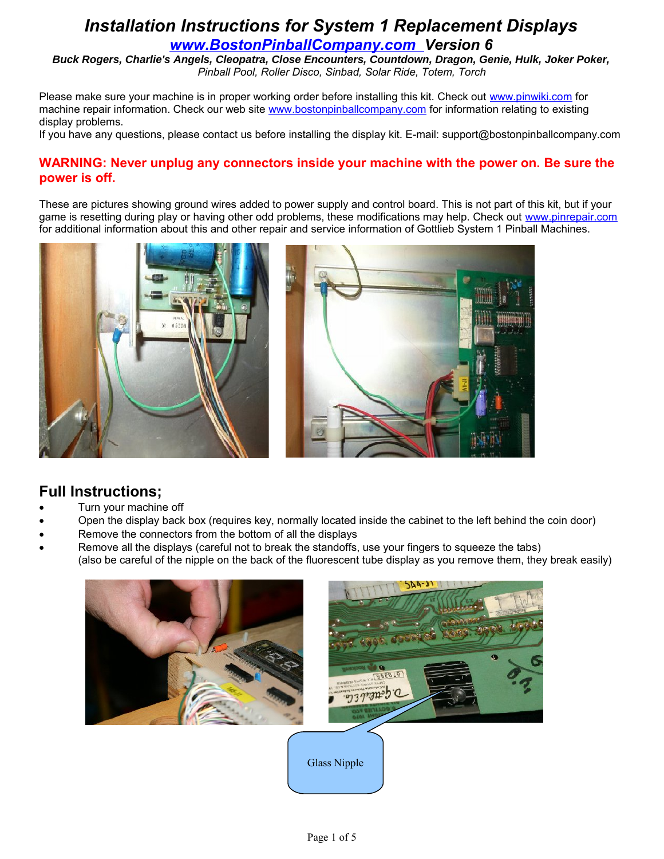*Buck Rogers, Charlie's Angels, Cleopatra, Close Encounters, Countdown, Dragon, Genie, Hulk, Joker Poker, Pinball Pool, Roller Disco, Sinbad, Solar Ride, Totem, Torch*

Please make sure your machine is in proper working order before installing this kit. Check out [www.pinwiki.com](http://www.marvin3.com/) for machine repair information. Check our web site [www.bostonpinballcompany.com](http://www.bostonpinballcompany.com/) for information relating to existing display problems.

If you have any questions, please contact us before installing the display kit. E-mail: support@bostonpinballcompany.com

#### **WARNING: Never unplug any connectors inside your machine with the power on. Be sure the power is off.**

These are pictures showing ground wires added to power supply and control board. This is not part of this kit, but if your game is resetting during play or having other odd problems, these modifications may help. Check out [www.pinrepair.com](http://www.marvin3.com/) for additional information about this and other repair and service information of Gottlieb System 1 Pinball Machines.



#### **Full Instructions;**

- Turn your machine off
- Open the display back box (requires key, normally located inside the cabinet to the left behind the coin door)
- Remove the connectors from the bottom of all the displays
- Remove all the displays (careful not to break the standoffs, use your fingers to squeeze the tabs) (also be careful of the nipple on the back of the fluorescent tube display as you remove them, they break easily)

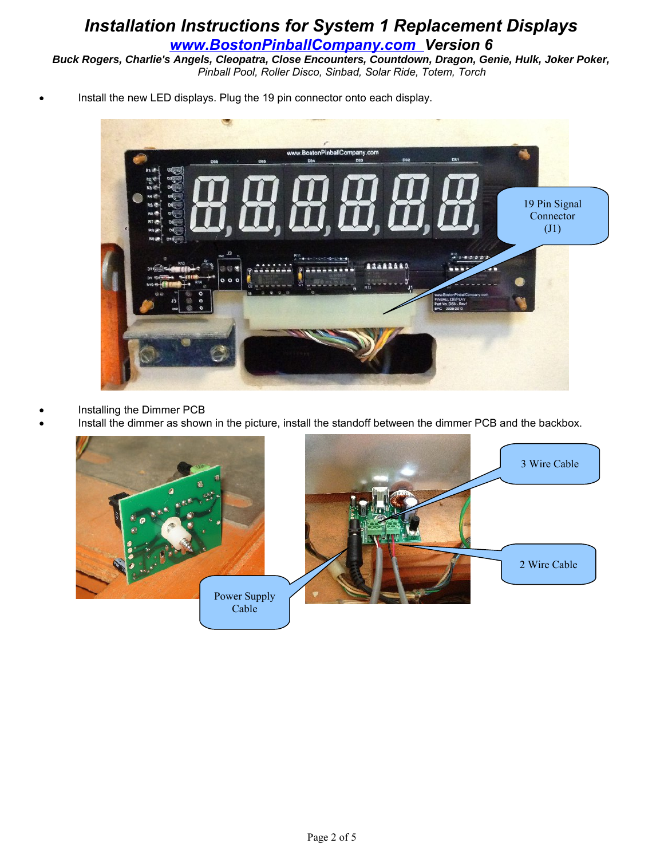*Buck Rogers, Charlie's Angels, Cleopatra, Close Encounters, Countdown, Dragon, Genie, Hulk, Joker Poker, Pinball Pool, Roller Disco, Sinbad, Solar Ride, Totem, Torch*

Install the new LED displays. Plug the 19 pin connector onto each display.



- Installing the Dimmer PCB
- Install the dimmer as shown in the picture, install the standoff between the dimmer PCB and the backbox.

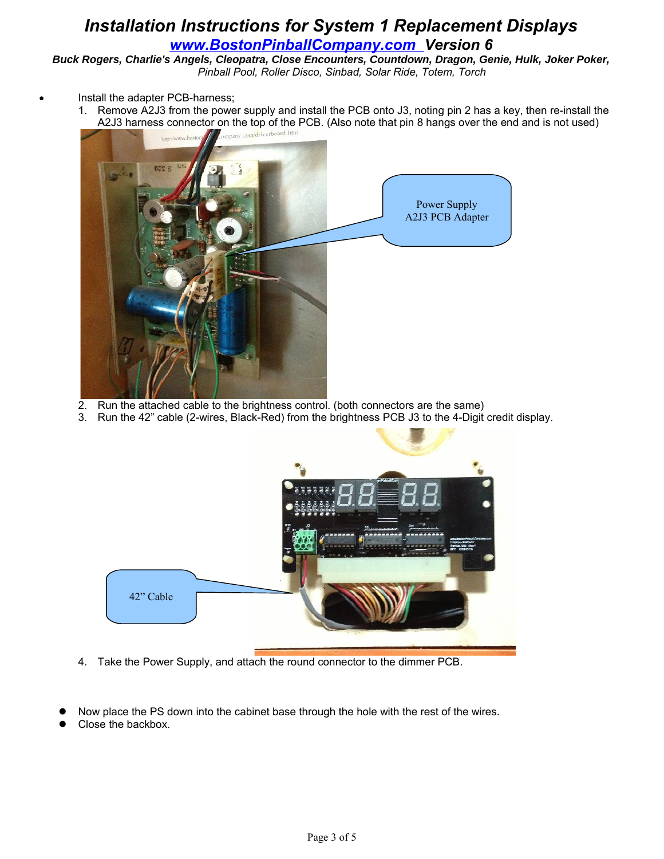*Buck Rogers, Charlie's Angels, Cleopatra, Close Encounters, Countdown, Dragon, Genie, Hulk, Joker Poker, Pinball Pool, Roller Disco, Sinbad, Solar Ride, Totem, Torch*

- Install the adapter PCB-harness;
	- 1. Remove A2J3 from the power supply and install the PCB onto J3, noting pin 2 has a key, then re-install the A2J3 harness connector on the top of the PCB. (Also note that pin 8 hangs over the end and is not used)



- 2. Run the attached cable to the brightness control. (both connectors are the same)
- 3. Run the 42" cable (2-wires, Black-Red) from the brightness PCB J3 to the 4-Digit credit display.



- 4. Take the Power Supply, and attach the round connector to the dimmer PCB.
- Now place the PS down into the cabinet base through the hole with the rest of the wires.
- Close the backbox.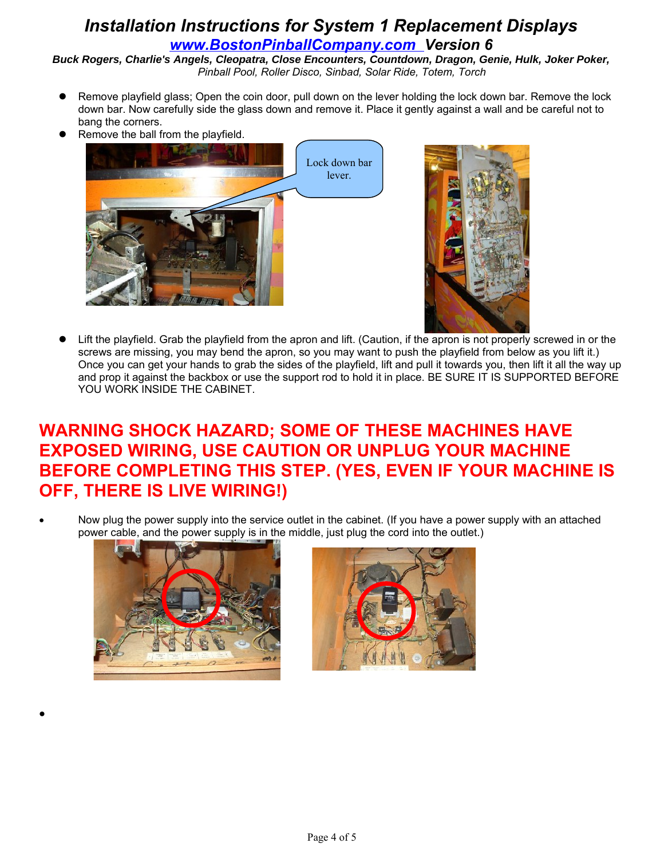*Buck Rogers, Charlie's Angels, Cleopatra, Close Encounters, Countdown, Dragon, Genie, Hulk, Joker Poker, Pinball Pool, Roller Disco, Sinbad, Solar Ride, Totem, Torch*

- Remove playfield glass; Open the coin door, pull down on the lever holding the lock down bar. Remove the lock down bar. Now carefully side the glass down and remove it. Place it gently against a wall and be careful not to bang the corners.
- Remove the ball from the playfield.





 Lift the playfield. Grab the playfield from the apron and lift. (Caution, if the apron is not properly screwed in or the screws are missing, you may bend the apron, so you may want to push the playfield from below as you lift it.) Once you can get your hands to grab the sides of the playfield, lift and pull it towards you, then lift it all the way up and prop it against the backbox or use the support rod to hold it in place. BE SURE IT IS SUPPORTED BEFORE YOU WORK INSIDE THE CABINET.

# **WARNING SHOCK HAZARD; SOME OF THESE MACHINES HAVE EXPOSED WIRING, USE CAUTION OR UNPLUG YOUR MACHINE BEFORE COMPLETING THIS STEP. (YES, EVEN IF YOUR MACHINE IS OFF, THERE IS LIVE WIRING!)**

 Now plug the power supply into the service outlet in the cabinet. (If you have a power supply with an attached power cable, and the power supply is in the middle, just plug the cord into the outlet.)



 $\bullet$